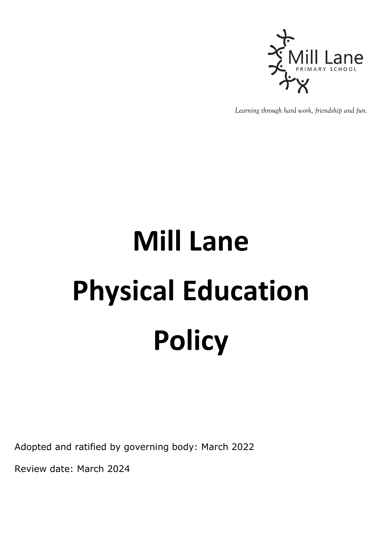

*Learning through hard work, friendship and fun.*

## **Mill Lane Physical Education Policy**

Adopted and ratified by governing body: March 2022

Review date: March 2024